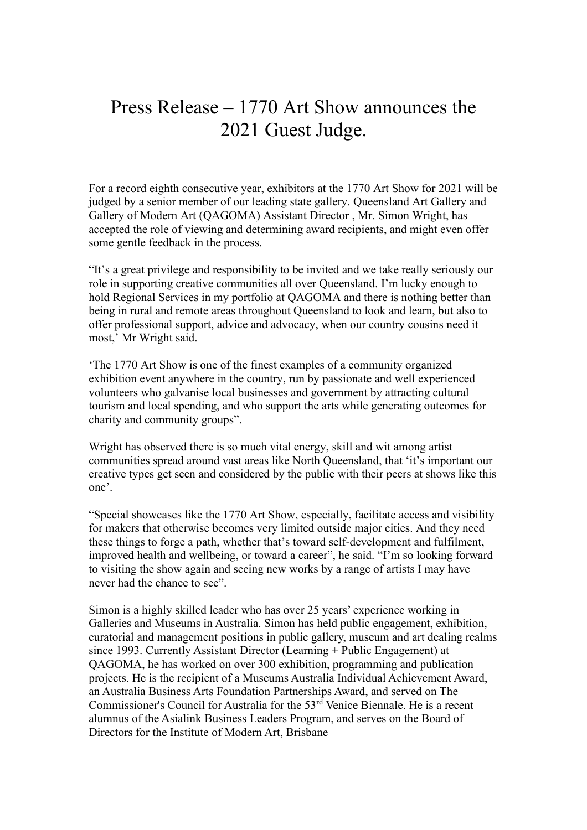## Press Release – 1770 Art Show announces the 2021 Guest Judge.

For a record eighth consecutive year, exhibitors at the 1770 Art Show for 2021 will be judged by a senior member of our leading state gallery. Queensland Art Gallery and Gallery of Modern Art (QAGOMA) Assistant Director , Mr. Simon Wright, has accepted the role of viewing and determining award recipients, and might even offer some gentle feedback in the process.

"It's a great privilege and responsibility to be invited and we take really seriously our role in supporting creative communities all over Queensland. I'm lucky enough to hold Regional Services in my portfolio at QAGOMA and there is nothing better than being in rural and remote areas throughout Queensland to look and learn, but also to offer professional support, advice and advocacy, when our country cousins need it most,' Mr Wright said.

'The 1770 Art Show is one of the finest examples of a community organized exhibition event anywhere in the country, run by passionate and well experienced volunteers who galvanise local businesses and government by attracting cultural tourism and local spending, and who support the arts while generating outcomes for charity and community groups".

Wright has observed there is so much vital energy, skill and wit among artist communities spread around vast areas like North Queensland, that 'it's important our creative types get seen and considered by the public with their peers at shows like this one'.

"Special showcases like the 1770 Art Show, especially, facilitate access and visibility for makers that otherwise becomes very limited outside major cities. And they need these things to forge a path, whether that's toward self-development and fulfilment, improved health and wellbeing, or toward a career", he said. "I'm so looking forward to visiting the show again and seeing new works by a range of artists I may have never had the chance to see".

Simon is a highly skilled leader who has over 25 years' experience working in Galleries and Museums in Australia. Simon has held public engagement, exhibition, curatorial and management positions in public gallery, museum and art dealing realms since 1993. Currently Assistant Director (Learning + Public Engagement) at QAGOMA, he has worked on over 300 exhibition, programming and publication projects. He is the recipient of a Museums Australia Individual Achievement Award, an Australia Business Arts Foundation Partnerships Award, and served on The Commissioner's Council for Australia for the  $53<sup>rd</sup>$  Venice Biennale. He is a recent alumnus of the Asialink Business Leaders Program, and serves on the Board of Directors for the Institute of Modern Art, Brisbane